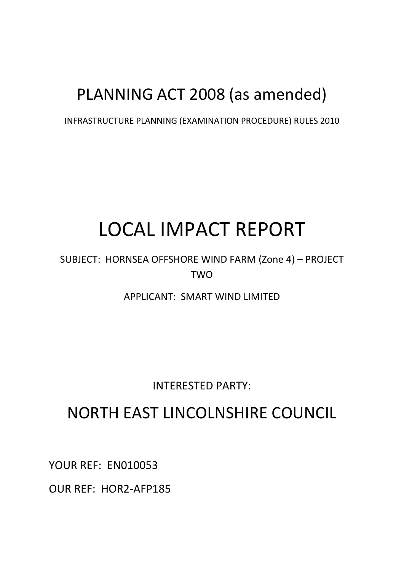## PLANNING ACT 2008 (as amended)

INFRASTRUCTURE PLANNING (EXAMINATION PROCEDURE) RULES 2010

# LOCAL IMPACT REPORT

SUBJECT: HORNSEA OFFSHORE WIND FARM (Zone 4) – PROJECT **TWO** 

APPLICANT: SMART WIND LIMITED

INTERESTED PARTY:

### NORTH EAST LINCOLNSHIRE COUNCIL

YOUR REF: EN010053

OUR REF: HOR2-AFP185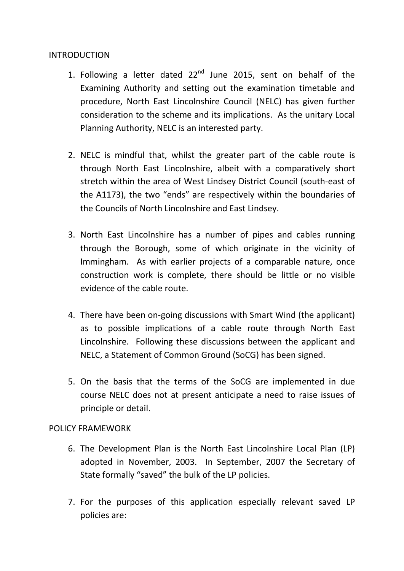#### INTRODUCTION

- 1. Following a letter dated  $22^{nd}$  June 2015, sent on behalf of the Examining Authority and setting out the examination timetable and procedure, North East Lincolnshire Council (NELC) has given further consideration to the scheme and its implications. As the unitary Local Planning Authority, NELC is an interested party.
- 2. NELC is mindful that, whilst the greater part of the cable route is through North East Lincolnshire, albeit with a comparatively short stretch within the area of West Lindsey District Council (south-east of the A1173), the two "ends" are respectively within the boundaries of the Councils of North Lincolnshire and East Lindsey.
- 3. North East Lincolnshire has a number of pipes and cables running through the Borough, some of which originate in the vicinity of Immingham. As with earlier projects of a comparable nature, once construction work is complete, there should be little or no visible evidence of the cable route.
- 4. There have been on-going discussions with Smart Wind (the applicant) as to possible implications of a cable route through North East Lincolnshire. Following these discussions between the applicant and NELC, a Statement of Common Ground (SoCG) has been signed.
- 5. On the basis that the terms of the SoCG are implemented in due course NELC does not at present anticipate a need to raise issues of principle or detail.

#### POLICY FRAMEWORK

- 6. The Development Plan is the North East Lincolnshire Local Plan (LP) adopted in November, 2003. In September, 2007 the Secretary of State formally "saved" the bulk of the LP policies.
- 7. For the purposes of this application especially relevant saved LP policies are: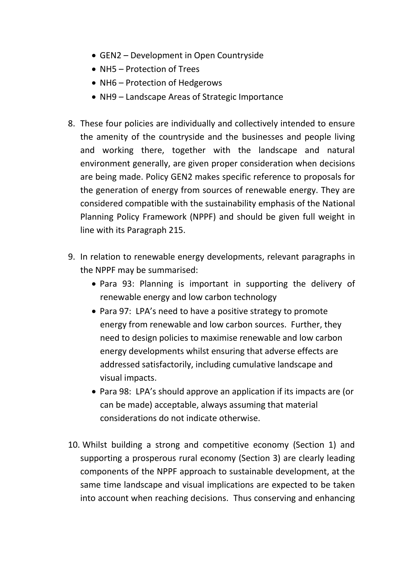- GEN2 Development in Open Countryside
- NH5 Protection of Trees
- NH6 Protection of Hedgerows
- NH9 Landscape Areas of Strategic Importance
- 8. These four policies are individually and collectively intended to ensure the amenity of the countryside and the businesses and people living and working there, together with the landscape and natural environment generally, are given proper consideration when decisions are being made. Policy GEN2 makes specific reference to proposals for the generation of energy from sources of renewable energy. They are considered compatible with the sustainability emphasis of the National Planning Policy Framework (NPPF) and should be given full weight in line with its Paragraph 215.
- 9. In relation to renewable energy developments, relevant paragraphs in the NPPF may be summarised:
	- Para 93: Planning is important in supporting the delivery of renewable energy and low carbon technology
	- Para 97: LPA's need to have a positive strategy to promote energy from renewable and low carbon sources. Further, they need to design policies to maximise renewable and low carbon energy developments whilst ensuring that adverse effects are addressed satisfactorily, including cumulative landscape and visual impacts.
	- Para 98: LPA's should approve an application if its impacts are (or can be made) acceptable, always assuming that material considerations do not indicate otherwise.
- 10. Whilst building a strong and competitive economy (Section 1) and supporting a prosperous rural economy (Section 3) are clearly leading components of the NPPF approach to sustainable development, at the same time landscape and visual implications are expected to be taken into account when reaching decisions. Thus conserving and enhancing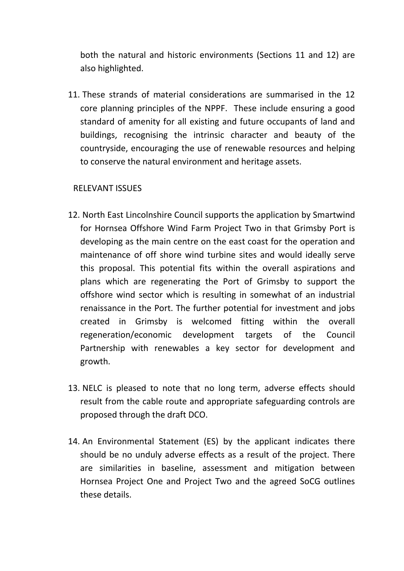both the natural and historic environments (Sections 11 and 12) are also highlighted.

11. These strands of material considerations are summarised in the 12 core planning principles of the NPPF. These include ensuring a good standard of amenity for all existing and future occupants of land and buildings, recognising the intrinsic character and beauty of the countryside, encouraging the use of renewable resources and helping to conserve the natural environment and heritage assets.

#### RELEVANT ISSUES

- 12. North East Lincolnshire Council supports the application by Smartwind for Hornsea Offshore Wind Farm Project Two in that Grimsby Port is developing as the main centre on the east coast for the operation and maintenance of off shore wind turbine sites and would ideally serve this proposal. This potential fits within the overall aspirations and plans which are regenerating the Port of Grimsby to support the offshore wind sector which is resulting in somewhat of an industrial renaissance in the Port. The further potential for investment and jobs created in Grimsby is welcomed fitting within the overall regeneration/economic development targets of the Council Partnership with renewables a key sector for development and growth.
- 13. NELC is pleased to note that no long term, adverse effects should result from the cable route and appropriate safeguarding controls are proposed through the draft DCO.
- 14. An Environmental Statement (ES) by the applicant indicates there should be no unduly adverse effects as a result of the project. There are similarities in baseline, assessment and mitigation between Hornsea Project One and Project Two and the agreed SoCG outlines these details.